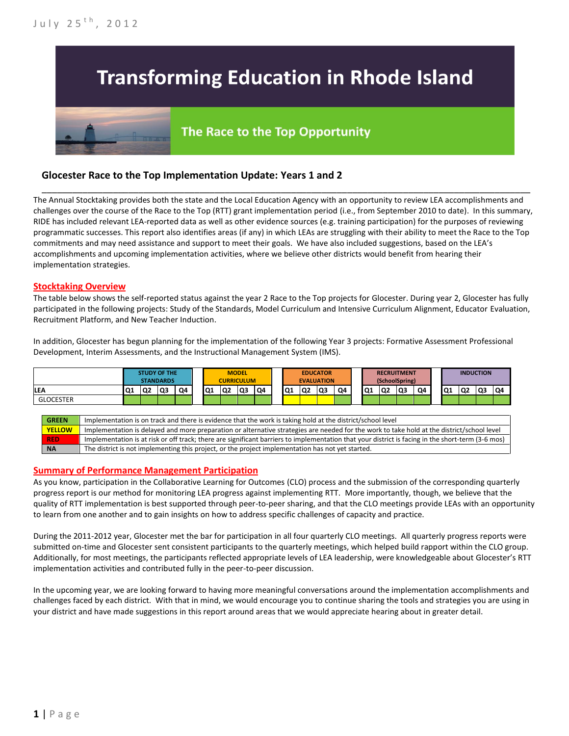# **Transforming Education in Rhode Island**

# The Race to the Top Opportunity

## **Glocester Race to the Top Implementation Update: Years 1 and 2**

The Annual Stocktaking provides both the state and the Local Education Agency with an opportunity to review LEA accomplishments and challenges over the course of the Race to the Top (RTT) grant implementation period (i.e., from September 2010 to date). In this summary, RIDE has included relevant LEA-reported data as well as other evidence sources (e.g. training participation) for the purposes of reviewing programmatic successes. This report also identifies areas (if any) in which LEAs are struggling with their ability to meet the Race to the Top commitments and may need assistance and support to meet their goals. We have also included suggestions, based on the LEA's accomplishments and upcoming implementation activities, where we believe other districts would benefit from hearing their implementation strategies.

\_\_\_\_\_\_\_\_\_\_\_\_\_\_\_\_\_\_\_\_\_\_\_\_\_\_\_\_\_\_\_\_\_\_\_\_\_\_\_\_\_\_\_\_\_\_\_\_\_\_\_\_\_\_\_\_\_\_\_\_\_\_\_\_\_\_\_\_\_\_\_\_\_\_\_\_\_\_\_\_\_\_\_\_\_\_\_\_\_\_\_\_\_\_\_\_

#### **Stocktaking Overview**

The table below shows the self-reported status against the year 2 Race to the Top projects for Glocester. During year 2, Glocester has fully participated in the following projects: Study of the Standards, Model Curriculum and Intensive Curriculum Alignment, Educator Evaluation, Recruitment Platform, and New Teacher Induction.

In addition, Glocester has begun planning for the implementation of the following Year 3 projects: Formative Assessment Professional Development, Interim Assessments, and the Instructional Management System (IMS).



#### **Summary of Performance Management Participation**

As you know, participation in the Collaborative Learning for Outcomes (CLO) process and the submission of the corresponding quarterly progress report is our method for monitoring LEA progress against implementing RTT. More importantly, though, we believe that the quality of RTT implementation is best supported through peer-to-peer sharing, and that the CLO meetings provide LEAs with an opportunity to learn from one another and to gain insights on how to address specific challenges of capacity and practice.

During the 2011-2012 year, Glocester met the bar for participation in all four quarterly CLO meetings. All quarterly progress reports were submitted on-time and Glocester sent consistent participants to the quarterly meetings, which helped build rapport within the CLO group. Additionally, for most meetings, the participants reflected appropriate levels of LEA leadership, were knowledgeable about Glocester's RTT implementation activities and contributed fully in the peer-to-peer discussion.

In the upcoming year, we are looking forward to having more meaningful conversations around the implementation accomplishments and challenges faced by each district. With that in mind, we would encourage you to continue sharing the tools and strategies you are using in your district and have made suggestions in this report around areas that we would appreciate hearing about in greater detail.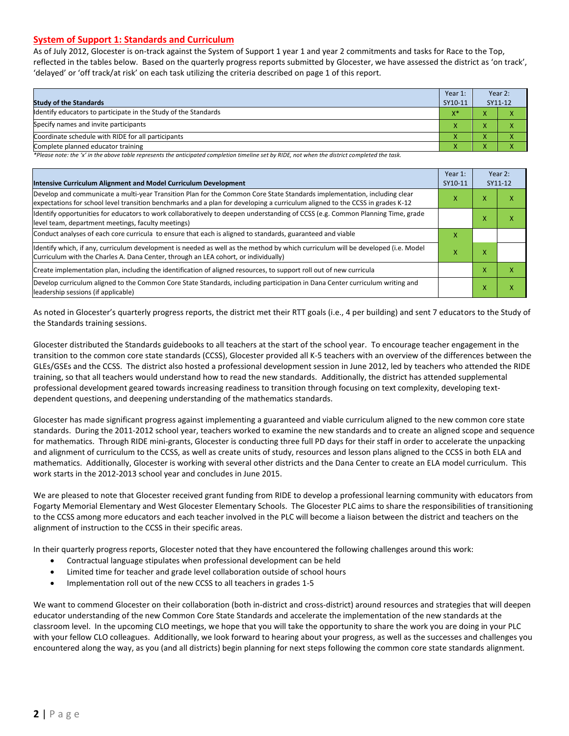#### **System of Support 1: Standards and Curriculum**

As of July 2012, Glocester is on-track against the System of Support 1 year 1 and year 2 commitments and tasks for Race to the Top, reflected in the tables below. Based on the quarterly progress reports submitted by Glocester, we have assessed the district as 'on track', 'delayed' or 'off track/at risk' on each task utilizing the criteria described on page 1 of this report.

| <b>Study of the Standards</b>                                   |           | Year 2:<br>SY11-12 |  |
|-----------------------------------------------------------------|-----------|--------------------|--|
| Identify educators to participate in the Study of the Standards | $X^*$     |                    |  |
| Specify names and invite participants                           |           |                    |  |
| Coordinate schedule with RIDE for all participants              |           | $\mathbf{\Lambda}$ |  |
| Complete planned educator training                              | $\lambda$ |                    |  |

*\*Please note: the 'x' in the above table represents the anticipated completion timeline set by RIDE, not when the district completed the task.*

| Intensive Curriculum Alignment and Model Curriculum Development                                                                                                                                                                                           | Year 1:<br>SY10-11 |   | Year 2:<br>SY11-12 |
|-----------------------------------------------------------------------------------------------------------------------------------------------------------------------------------------------------------------------------------------------------------|--------------------|---|--------------------|
| Develop and communicate a multi-year Transition Plan for the Common Core State Standards implementation, including clear<br>expectations for school level transition benchmarks and a plan for developing a curriculum aligned to the CCSS in grades K-12 |                    |   | х                  |
| Identify opportunities for educators to work collaboratively to deepen understanding of CCSS (e.g. Common Planning Time, grade<br>level team, department meetings, faculty meetings)                                                                      |                    |   | Χ                  |
| Conduct analyses of each core curricula to ensure that each is aligned to standards, guaranteed and viable                                                                                                                                                |                    |   |                    |
| ldentify which, if any, curriculum development is needed as well as the method by which curriculum will be developed (i.e. Model<br>Curriculum with the Charles A. Dana Center, through an LEA cohort, or individually)                                   |                    | x |                    |
| Create implementation plan, including the identification of aligned resources, to support roll out of new curricula                                                                                                                                       |                    | X | x                  |
| Develop curriculum aligned to the Common Core State Standards, including participation in Dana Center curriculum writing and<br>leadership sessions (if applicable)                                                                                       |                    | X | x                  |

As noted in Glocester's quarterly progress reports, the district met their RTT goals (i.e., 4 per building) and sent 7 educators to the Study of the Standards training sessions.

Glocester distributed the Standards guidebooks to all teachers at the start of the school year. To encourage teacher engagement in the transition to the common core state standards (CCSS), Glocester provided all K-5 teachers with an overview of the differences between the GLEs/GSEs and the CCSS. The district also hosted a professional development session in June 2012, led by teachers who attended the RIDE training, so that all teachers would understand how to read the new standards. Additionally, the district has attended supplemental professional development geared towards increasing readiness to transition through focusing on text complexity, developing textdependent questions, and deepening understanding of the mathematics standards.

Glocester has made significant progress against implementing a guaranteed and viable curriculum aligned to the new common core state standards. During the 2011-2012 school year, teachers worked to examine the new standards and to create an aligned scope and sequence for mathematics. Through RIDE mini-grants, Glocester is conducting three full PD days for their staff in order to accelerate the unpacking and alignment of curriculum to the CCSS, as well as create units of study, resources and lesson plans aligned to the CCSS in both ELA and mathematics. Additionally, Glocester is working with several other districts and the Dana Center to create an ELA model curriculum. This work starts in the 2012-2013 school year and concludes in June 2015.

We are pleased to note that Glocester received grant funding from RIDE to develop a professional learning community with educators from Fogarty Memorial Elementary and West Glocester Elementary Schools. The Glocester PLC aims to share the responsibilities of transitioning to the CCSS among more educators and each teacher involved in the PLC will become a liaison between the district and teachers on the alignment of instruction to the CCSS in their specific areas.

In their quarterly progress reports, Glocester noted that they have encountered the following challenges around this work:

- Contractual language stipulates when professional development can be held
- Limited time for teacher and grade level collaboration outside of school hours
- Implementation roll out of the new CCSS to all teachers in grades 1-5

We want to commend Glocester on their collaboration (both in-district and cross-district) around resources and strategies that will deepen educator understanding of the new Common Core State Standards and accelerate the implementation of the new standards at the classroom level. In the upcoming CLO meetings, we hope that you will take the opportunity to share the work you are doing in your PLC with your fellow CLO colleagues. Additionally, we look forward to hearing about your progress, as well as the successes and challenges you encountered along the way, as you (and all districts) begin planning for next steps following the common core state standards alignment.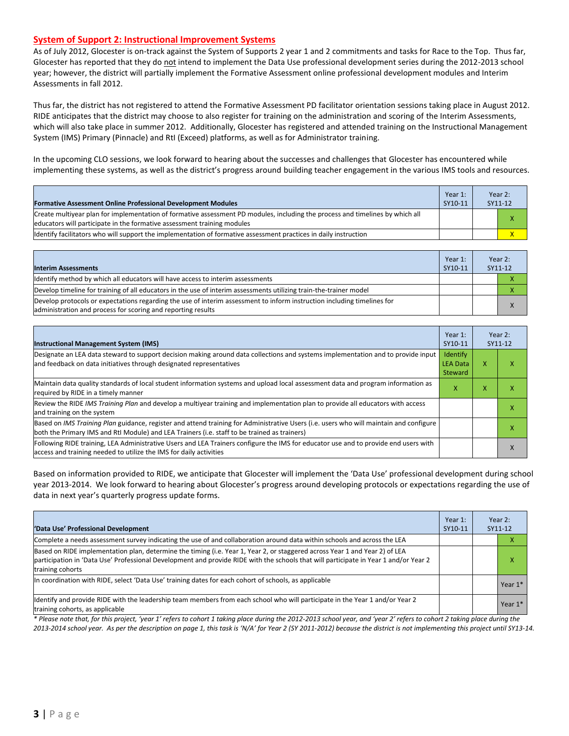#### **System of Support 2: Instructional Improvement Systems**

As of July 2012, Glocester is on-track against the System of Supports 2 year 1 and 2 commitments and tasks for Race to the Top. Thus far, Glocester has reported that they do not intend to implement the Data Use professional development series during the 2012-2013 school year; however, the district will partially implement the Formative Assessment online professional development modules and Interim Assessments in fall 2012.

Thus far, the district has not registered to attend the Formative Assessment PD facilitator orientation sessions taking place in August 2012. RIDE anticipates that the district may choose to also register for training on the administration and scoring of the Interim Assessments, which will also take place in summer 2012. Additionally, Glocester has registered and attended training on the Instructional Management System (IMS) Primary (Pinnacle) and RtI (Exceed) platforms, as well as for Administrator training.

In the upcoming CLO sessions, we look forward to hearing about the successes and challenges that Glocester has encountered while implementing these systems, as well as the district's progress around building teacher engagement in the various IMS tools and resources.

| <b>Formative Assessment Online Professional Development Modules</b>                                                                                                                                      | Year 1:<br>SY10-11 | Year 2:<br>SY11-12 |
|----------------------------------------------------------------------------------------------------------------------------------------------------------------------------------------------------------|--------------------|--------------------|
| Create multivear plan for implementation of formative assessment PD modules, including the process and timelines by which all<br>educators will participate in the formative assessment training modules |                    | x                  |
| ldentify facilitators who will support the implementation of formative assessment practices in daily instruction                                                                                         |                    |                    |

| <b>Interim Assessments</b>                                                                                                                                                              | Year 1:<br>SY10-11 | Year 2:<br>SY11-12 |
|-----------------------------------------------------------------------------------------------------------------------------------------------------------------------------------------|--------------------|--------------------|
| Identify method by which all educators will have access to interim assessments                                                                                                          |                    |                    |
| Develop timeline for training of all educators in the use of interim assessments utilizing train-the-trainer model                                                                      |                    |                    |
| Develop protocols or expectations regarding the use of interim assessment to inform instruction including timelines for<br>administration and process for scoring and reporting results |                    |                    |

| <b>Instructional Management System (IMS)</b>                                                                                                                                                                                           | Year 1:<br>SY10-11                            |   | Year 2:<br>SY11-12 |
|----------------------------------------------------------------------------------------------------------------------------------------------------------------------------------------------------------------------------------------|-----------------------------------------------|---|--------------------|
| Designate an LEA data steward to support decision making around data collections and systems implementation and to provide input<br>and feedback on data initiatives through designated representatives                                | <b>Identify</b><br><b>LEA Data</b><br>Steward | x | ⋏                  |
| Maintain data quality standards of local student information systems and upload local assessment data and program information as<br>required by RIDE in a timely manner                                                                | x                                             | x |                    |
| Review the RIDE IMS Training Plan and develop a multiyear training and implementation plan to provide all educators with access<br>and training on the system                                                                          |                                               |   | ⋏                  |
| Based on IMS Training Plan guidance, register and attend training for Administrative Users (i.e. users who will maintain and configure<br>both the Primary IMS and RtI Module) and LEA Trainers (i.e. staff to be trained as trainers) |                                               |   | x                  |
| Following RIDE training, LEA Administrative Users and LEA Trainers configure the IMS for educator use and to provide end users with<br>access and training needed to utilize the IMS for daily activities                              |                                               |   | $\lambda$          |

Based on information provided to RIDE, we anticipate that Glocester will implement the 'Data Use' professional development during school year 2013-2014. We look forward to hearing about Glocester's progress around developing protocols or expectations regarding the use of data in next year's quarterly progress update forms.

| 'Data Use' Professional Development                                                                                                                                                                                                                                                     | Year 1:<br>SY10-11 | Year $2:$<br>SY11-12 |
|-----------------------------------------------------------------------------------------------------------------------------------------------------------------------------------------------------------------------------------------------------------------------------------------|--------------------|----------------------|
| Complete a needs assessment survey indicating the use of and collaboration around data within schools and across the LEA                                                                                                                                                                |                    |                      |
| Based on RIDE implementation plan, determine the timing (i.e. Year 1, Year 2, or staggered across Year 1 and Year 2) of LEA<br>participation in 'Data Use' Professional Development and provide RIDE with the schools that will participate in Year 1 and/or Year 2<br>training cohorts |                    | x                    |
| In coordination with RIDE, select 'Data Use' training dates for each cohort of schools, as applicable                                                                                                                                                                                   |                    | Year 1*              |
| Identify and provide RIDE with the leadership team members from each school who will participate in the Year 1 and/or Year 2<br>training cohorts, as applicable                                                                                                                         |                    | Year 1*              |

*\* Please note that, for this project, 'year 1' refers to cohort 1 taking place during the 2012-2013 school year, and 'year 2' refers to cohort 2 taking place during the 2013-2014 school year. As per the description on page 1, this task is 'N/A' for Year 2 (SY 2011-2012) because the district is not implementing this project until SY13-14.*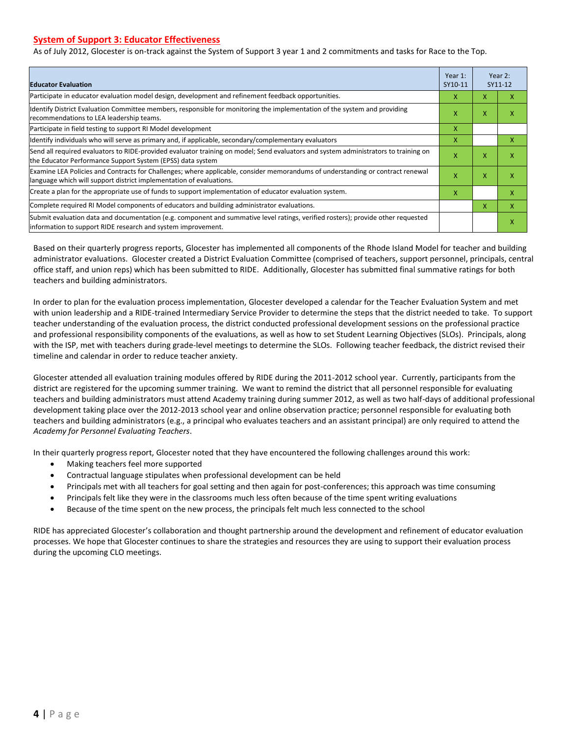#### **System of Support 3: Educator Effectiveness**

As of July 2012, Glocester is on-track against the System of Support 3 year 1 and 2 commitments and tasks for Race to the Top.

| <b>Educator Evaluation</b>                                                                                                                                                                            |   | Year $2:$<br>SY11-12 |   |
|-------------------------------------------------------------------------------------------------------------------------------------------------------------------------------------------------------|---|----------------------|---|
| Participate in educator evaluation model design, development and refinement feedback opportunities.                                                                                                   | x | x                    | x |
| Identify District Evaluation Committee members, responsible for monitoring the implementation of the system and providing<br>recommendations to LEA leadership teams.                                 | x | X                    | x |
| Participate in field testing to support RI Model development                                                                                                                                          |   |                      |   |
| Identify individuals who will serve as primary and, if applicable, secondary/complementary evaluators                                                                                                 |   |                      | X |
| Send all required evaluators to RIDE-provided evaluator training on model; Send evaluators and system administrators to training on<br>the Educator Performance Support System (EPSS) data system     |   |                      | x |
| Examine LEA Policies and Contracts for Challenges; where applicable, consider memorandums of understanding or contract renewal<br>language which will support district implementation of evaluations. |   | X                    | x |
| Create a plan for the appropriate use of funds to support implementation of educator evaluation system.                                                                                               |   |                      | X |
| Complete required RI Model components of educators and building administrator evaluations.                                                                                                            |   | x                    | X |
| Submit evaluation data and documentation (e.g. component and summative level ratings, verified rosters); provide other requested<br>information to support RIDE research and system improvement.      |   |                      | x |

Based on their quarterly progress reports, Glocester has implemented all components of the Rhode Island Model for teacher and building administrator evaluations. Glocester created a District Evaluation Committee (comprised of teachers, support personnel, principals, central office staff, and union reps) which has been submitted to RIDE. Additionally, Glocester has submitted final summative ratings for both teachers and building administrators.

In order to plan for the evaluation process implementation, Glocester developed a calendar for the Teacher Evaluation System and met with union leadership and a RIDE-trained Intermediary Service Provider to determine the steps that the district needed to take. To support teacher understanding of the evaluation process, the district conducted professional development sessions on the professional practice and professional responsibility components of the evaluations, as well as how to set Student Learning Objectives (SLOs). Principals, along with the ISP, met with teachers during grade-level meetings to determine the SLOs. Following teacher feedback, the district revised their timeline and calendar in order to reduce teacher anxiety.

Glocester attended all evaluation training modules offered by RIDE during the 2011-2012 school year. Currently, participants from the district are registered for the upcoming summer training. We want to remind the district that all personnel responsible for evaluating teachers and building administrators must attend Academy training during summer 2012, as well as two half-days of additional professional development taking place over the 2012-2013 school year and online observation practice; personnel responsible for evaluating both teachers and building administrators (e.g., a principal who evaluates teachers and an assistant principal) are only required to attend the *Academy for Personnel Evaluating Teachers*.

In their quarterly progress report, Glocester noted that they have encountered the following challenges around this work:

- Making teachers feel more supported
- Contractual language stipulates when professional development can be held
- Principals met with all teachers for goal setting and then again for post-conferences; this approach was time consuming
- Principals felt like they were in the classrooms much less often because of the time spent writing evaluations
- Because of the time spent on the new process, the principals felt much less connected to the school

RIDE has appreciated Glocester's collaboration and thought partnership around the development and refinement of educator evaluation processes. We hope that Glocester continues to share the strategies and resources they are using to support their evaluation process during the upcoming CLO meetings.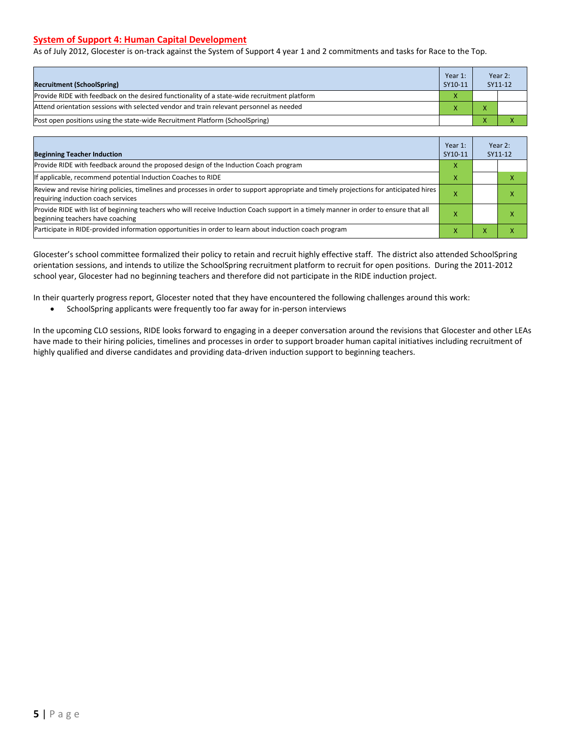#### **System of Support 4: Human Capital Development**

As of July 2012, Glocester is on-track against the System of Support 4 year 1 and 2 commitments and tasks for Race to the Top.

| <b>Recruitment (SchoolSpring)</b>                                                            | Year 1:<br>SY10-11 | Year 2:<br>SY11-12 |
|----------------------------------------------------------------------------------------------|--------------------|--------------------|
| Provide RIDE with feedback on the desired functionality of a state-wide recruitment platform |                    |                    |
| Attend orientation sessions with selected vendor and train relevant personnel as needed      |                    |                    |
| [Post open positions using the state-wide Recruitment Platform (SchoolSpring)                |                    |                    |

| <b>Beginning Teacher Induction</b>                                                                                                                                            | Year 1:<br>SY10-11 |   | Year 2:<br>SY11-12 |
|-------------------------------------------------------------------------------------------------------------------------------------------------------------------------------|--------------------|---|--------------------|
| Provide RIDE with feedback around the proposed design of the Induction Coach program                                                                                          | x                  |   |                    |
| If applicable, recommend potential Induction Coaches to RIDE                                                                                                                  | x                  |   |                    |
| Review and revise hiring policies, timelines and processes in order to support appropriate and timely projections for anticipated hires<br>requiring induction coach services |                    |   | ⋏                  |
| Provide RIDE with list of beginning teachers who will receive Induction Coach support in a timely manner in order to ensure that all<br>beginning teachers have coaching      |                    |   | ⋏                  |
| Participate in RIDE-provided information opportunities in order to learn about induction coach program                                                                        | v                  | л |                    |

Glocester's school committee formalized their policy to retain and recruit highly effective staff. The district also attended SchoolSpring orientation sessions, and intends to utilize the SchoolSpring recruitment platform to recruit for open positions. During the 2011-2012 school year, Glocester had no beginning teachers and therefore did not participate in the RIDE induction project.

In their quarterly progress report, Glocester noted that they have encountered the following challenges around this work:

SchoolSpring applicants were frequently too far away for in-person interviews

In the upcoming CLO sessions, RIDE looks forward to engaging in a deeper conversation around the revisions that Glocester and other LEAs have made to their hiring policies, timelines and processes in order to support broader human capital initiatives including recruitment of highly qualified and diverse candidates and providing data-driven induction support to beginning teachers.